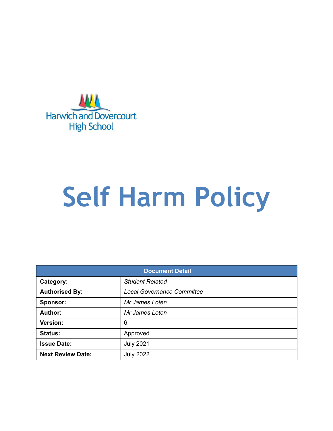

# **Self Harm Policy**

| <b>Document Detail</b>   |                                   |  |  |
|--------------------------|-----------------------------------|--|--|
| Category:                | <b>Student Related</b>            |  |  |
| <b>Authorised By:</b>    | <b>Local Governance Committee</b> |  |  |
| <b>Sponsor:</b>          | Mr James Loten                    |  |  |
| Author:                  | Mr James Loten                    |  |  |
| Version:                 | 6                                 |  |  |
| <b>Status:</b>           | Approved                          |  |  |
| <b>Issue Date:</b>       | <b>July 2021</b>                  |  |  |
| <b>Next Review Date:</b> | <b>July 2022</b>                  |  |  |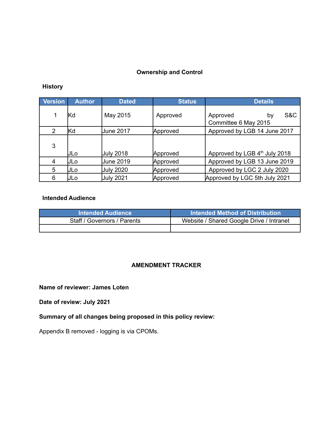#### **Ownership and Control**

#### **History**

| <b>Version</b> | <b>Author</b> | <b>Dated</b>     | <b>Status</b> | <b>Details</b>                                |
|----------------|---------------|------------------|---------------|-----------------------------------------------|
| 1              | lKd           | May 2015         | Approved      | S&C<br>Approved<br>bv<br>Committee 6 May 2015 |
| 2              | lKd           | <b>June 2017</b> | Approved      | Approved by LGB 14 June 2017                  |
| 3              | IJLo          | <b>July 2018</b> | Approved      | Approved by LGB 4 <sup>th</sup> July 2018     |
| 4              | JLo           | <b>June 2019</b> | Approved      | Approved by LGB 13 June 2019                  |
| 5              | IJLo          | <b>July 2020</b> | Approved      | Approved by LGC 2 July 2020                   |
| 6              | IJLo          | <b>July 2021</b> | Approved      | Approved by LGC 5th July 2021                 |

#### **Intended Audience**

| <b>Intended Audience</b>    | Intended Method of Distribution          |
|-----------------------------|------------------------------------------|
| Staff / Governors / Parents | Website / Shared Google Drive / Intranet |
|                             |                                          |

#### **AMENDMENT TRACKER**

**Name of reviewer: James Loten**

**Date of review: July 2021**

**Summary of all changes being proposed in this policy review:**

Appendix B removed - logging is via CPOMs.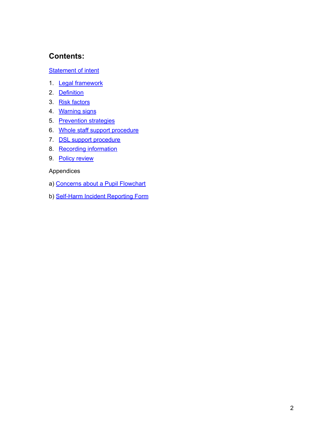# **Contents:**

#### **[Statement](#page-3-0) of intent**

- 1. Legal [framework](#page-4-0)
- 2. [Definition](#page-4-1)
- 3. Risk [factors](#page-5-0)
- 4. [Warning](#page-5-1) signs
- 5. [Prevention](#page-6-0) strategies
- 6. Whole staff support [procedure](#page-7-0)
- 7. DSL support [procedure](#page-8-0)
- 8. Recording [information](#page-8-1)
- 9. Policy [review](#page-9-0)

Appendices

- a) Concerns about a Pupil [Flowchart](#page-10-0)
- b) Self-Harm Incident Reporting Form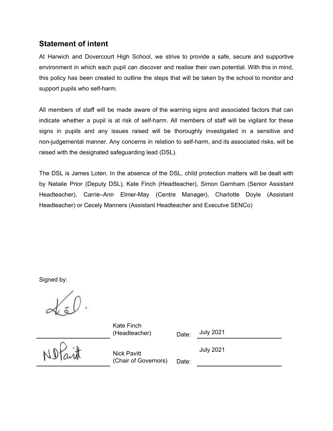## <span id="page-3-0"></span>**Statement of intent**

At Harwich and Dovercourt High School, we strive to provide a safe, secure and supportive environment in which each pupil can discover and realise their own potential. With this in mind, this policy has been created to outline the steps that will be taken by the school to monitor and support pupils who self-harm.

All members of staff will be made aware of the warning signs and associated factors that can indicate whether a pupil is at risk of self-harm. All members of staff will be vigilant for these signs in pupils and any issues raised will be thoroughly investigated in a sensitive and non-judgemental manner. Any concerns in relation to self-harm, and its associated risks, will be raised with the designated safeguarding lead (DSL).

The DSL is James Loten. In the absence of the DSL, child protection matters will be dealt with by Natalie Prior (Deputy DSL), Kate Finch (Headteacher), Simon Garnham (Senior Assistant Headteacher), Carrie–Ann Elmer-May (Centre Manager), Charlotte Doyle (Assistant Headteacher) or Cecely Manners (Assistant Headteacher and Executve SENCo)

Signed by:

Kate Finch (Headteacher) Date:

July 2021

Nick Pavitt (Chair of Governors) Date: July 2021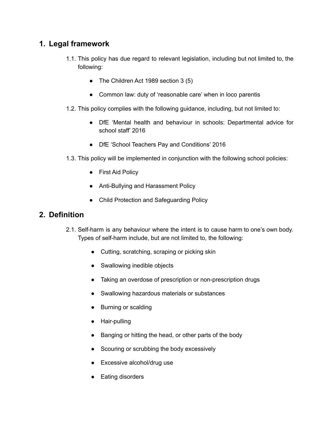## <span id="page-4-0"></span>**1. Legal framework**

- 1.1. This policy has due regard to relevant legislation, including but not limited to, the following:
	- The Children Act 1989 section 3 (5)
	- Common law: duty of 'reasonable care' when in loco parentis
- 1.2. This policy complies with the following guidance, including, but not limited to:
	- DfE 'Mental health and behaviour in schools: Departmental advice for school staff' 2016
	- DfE 'School Teachers Pay and Conditions' 2016
- 1.3. This policy will be implemented in conjunction with the following school policies:
	- First Aid Policy
	- Anti-Bullying and Harassment Policy
	- Child Protection and Safeguarding Policy

### <span id="page-4-1"></span>**2. Definition**

- 2.1. Self-harm is any behaviour where the intent is to cause harm to one's own body. Types of self-harm include, but are not limited to, the following:
	- Cutting, scratching, scraping or picking skin
	- Swallowing inedible objects
	- Taking an overdose of prescription or non-prescription drugs
	- Swallowing hazardous materials or substances
	- Burning or scalding
	- Hair-pulling
	- Banging or hitting the head, or other parts of the body
	- Scouring or scrubbing the body excessively
	- Excessive alcohol/drug use
	- Eating disorders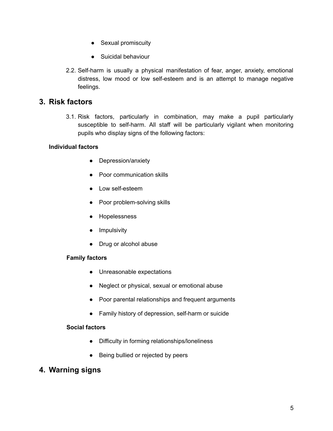- Sexual promiscuity
- Suicidal behaviour
- 2.2. Self-harm is usually a physical manifestation of fear, anger, anxiety, emotional distress, low mood or low self-esteem and is an attempt to manage negative feelings.

## <span id="page-5-0"></span>**3. Risk factors**

3.1. Risk factors, particularly in combination, may make a pupil particularly susceptible to self-harm. All staff will be particularly vigilant when monitoring pupils who display signs of the following factors:

#### **Individual factors**

- Depression/anxiety
- Poor communication skills
- Low self-esteem
- Poor problem-solving skills
- Hopelessness
- **•** Impulsivity
- Drug or alcohol abuse

#### **Family factors**

- Unreasonable expectations
- Neglect or physical, sexual or emotional abuse
- Poor parental relationships and frequent arguments
- Family history of depression, self-harm or suicide

#### **Social factors**

- Difficulty in forming relationships/loneliness
- Being bullied or rejected by peers

## <span id="page-5-1"></span>**4. Warning signs**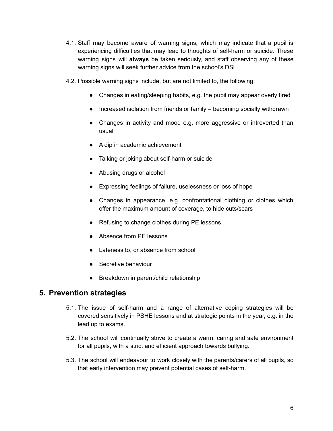- 4.1. Staff may become aware of warning signs, which may indicate that a pupil is experiencing difficulties that may lead to thoughts of self-harm or suicide. These warning signs will **always** be taken seriously, and staff observing any of these warning signs will seek further advice from the school's DSL.
- 4.2. Possible warning signs include, but are not limited to, the following:
	- Changes in eating/sleeping habits, e.g. the pupil may appear overly tired
	- Increased isolation from friends or family becoming socially withdrawn
	- Changes in activity and mood e.g. more aggressive or introverted than usual
	- A dip in academic achievement
	- Talking or joking about self-harm or suicide
	- Abusing drugs or alcohol
	- Expressing feelings of failure, uselessness or loss of hope
	- Changes in appearance, e.g. confrontational clothing or clothes which offer the maximum amount of coverage, to hide cuts/scars
	- Refusing to change clothes during PE lessons
	- Absence from PE lessons
	- Lateness to, or absence from school
	- Secretive behaviour
	- Breakdown in parent/child relationship

## <span id="page-6-0"></span>**5. Prevention strategies**

- 5.1. The issue of self-harm and a range of alternative coping strategies will be covered sensitively in PSHE lessons and at strategic points in the year, e.g. in the lead up to exams.
- 5.2. The school will continually strive to create a warm, caring and safe environment for all pupils, with a strict and efficient approach towards bullying.
- 5.3. The school will endeavour to work closely with the parents/carers of all pupils, so that early intervention may prevent potential cases of self-harm.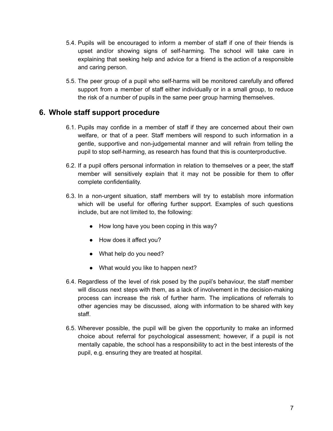- 5.4. Pupils will be encouraged to inform a member of staff if one of their friends is upset and/or showing signs of self-harming. The school will take care in explaining that seeking help and advice for a friend is the action of a responsible and caring person.
- 5.5. The peer group of a pupil who self-harms will be monitored carefully and offered support from a member of staff either individually or in a small group, to reduce the risk of a number of pupils in the same peer group harming themselves.

## <span id="page-7-0"></span>**6. Whole staff support procedure**

- 6.1. Pupils may confide in a member of staff if they are concerned about their own welfare, or that of a peer. Staff members will respond to such information in a gentle, supportive and non-judgemental manner and will refrain from telling the pupil to stop self-harming, as research has found that this is counterproductive.
- 6.2. If a pupil offers personal information in relation to themselves or a peer, the staff member will sensitively explain that it may not be possible for them to offer complete confidentiality.
- 6.3. In a non-urgent situation, staff members will try to establish more information which will be useful for offering further support. Examples of such questions include, but are not limited to, the following:
	- How long have you been coping in this way?
	- How does it affect you?
	- What help do you need?
	- What would you like to happen next?
- 6.4. Regardless of the level of risk posed by the pupil's behaviour, the staff member will discuss next steps with them, as a lack of involvement in the decision-making process can increase the risk of further harm. The implications of referrals to other agencies may be discussed, along with information to be shared with key staff.
- 6.5. Wherever possible, the pupil will be given the opportunity to make an informed choice about referral for psychological assessment; however, if a pupil is not mentally capable, the school has a responsibility to act in the best interests of the pupil, e.g. ensuring they are treated at hospital.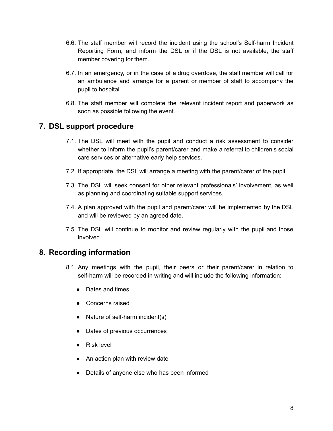- 6.6. The staff member will record the incident using the school's Self-harm Incident Reporting Form, and inform the DSL or if the DSL is not available, the staff member covering for them.
- 6.7. In an emergency, or in the case of a drug overdose, the staff member will call for an ambulance and arrange for a parent or member of staff to accompany the pupil to hospital.
- 6.8. The staff member will complete the relevant incident report and paperwork as soon as possible following the event.

## <span id="page-8-0"></span>**7. DSL support procedure**

- 7.1. The DSL will meet with the pupil and conduct a risk assessment to consider whether to inform the pupil's parent/carer and make a referral to children's social care services or alternative early help services.
- 7.2. If appropriate, the DSL will arrange a meeting with the parent/carer of the pupil.
- 7.3. The DSL will seek consent for other relevant professionals' involvement, as well as planning and coordinating suitable support services.
- 7.4. A plan approved with the pupil and parent/carer will be implemented by the DSL and will be reviewed by an agreed date.
- 7.5. The DSL will continue to monitor and review regularly with the pupil and those involved.

## <span id="page-8-1"></span>**8. Recording information**

- 8.1. Any meetings with the pupil, their peers or their parent/carer in relation to self-harm will be recorded in writing and will include the following information:
	- Dates and times
	- Concerns raised
	- Nature of self-harm incident(s)
	- Dates of previous occurrences
	- Risk level
	- An action plan with review date
	- Details of anyone else who has been informed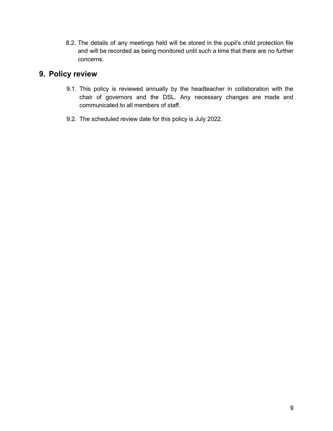8.2. The details of any meetings held will be stored in the pupil's child protection file and will be recorded as being monitored until such a time that there are no further concerns.

## <span id="page-9-0"></span>**9. Policy review**

- 9.1. This policy is reviewed annually by the headteacher in collaboration with the chair of governors and the DSL. Any necessary changes are made and communicated to all members of staff.
- 9.2. The scheduled review date for this policy is July 2022.